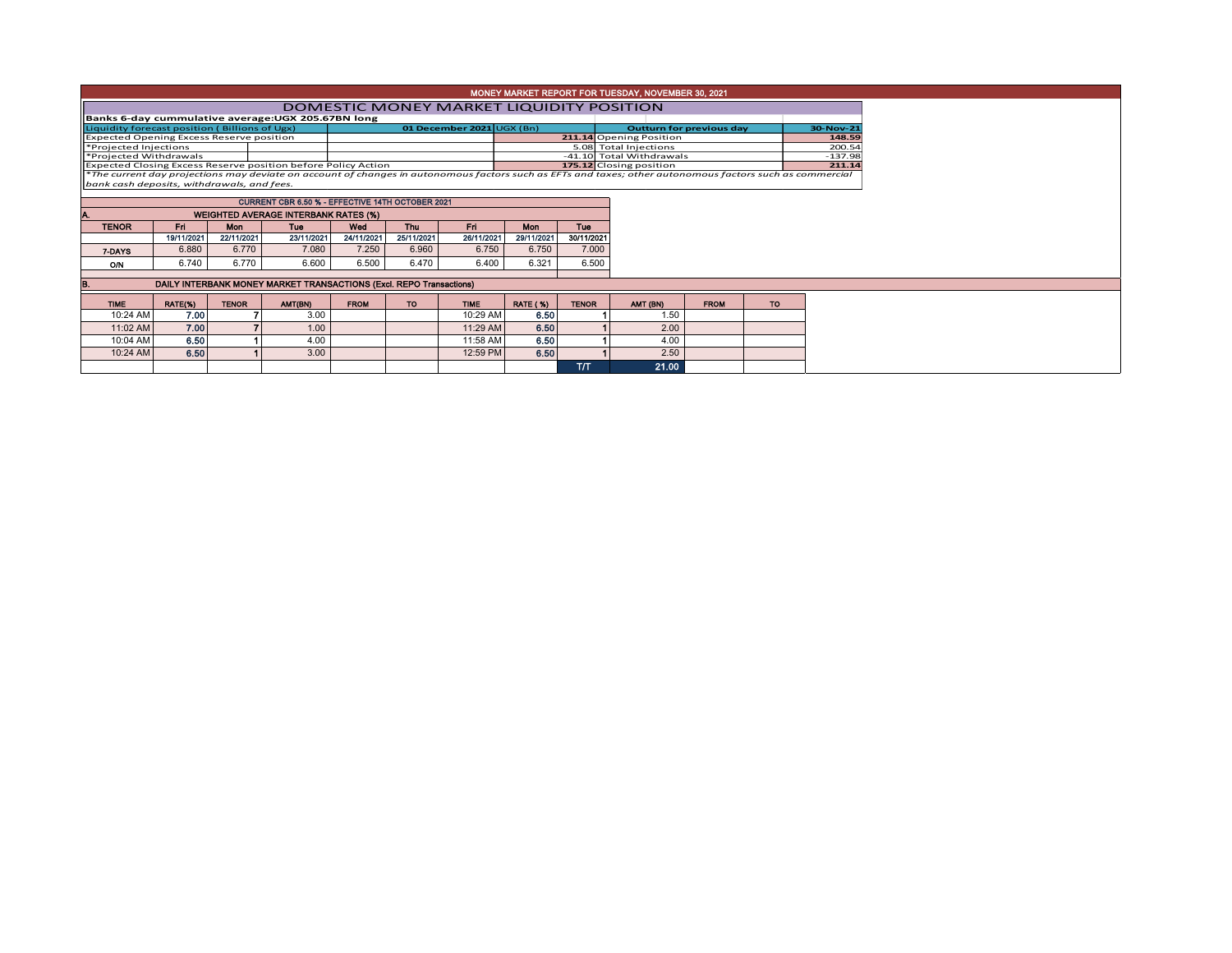| MONEY MARKET REPORT FOR TUESDAY, NOVEMBER 30, 2021                                                                                                       |                                                                                                 |              |                                                                     |             |                           |             |                                 |              |                          |             |           |        |  |  |
|----------------------------------------------------------------------------------------------------------------------------------------------------------|-------------------------------------------------------------------------------------------------|--------------|---------------------------------------------------------------------|-------------|---------------------------|-------------|---------------------------------|--------------|--------------------------|-------------|-----------|--------|--|--|
|                                                                                                                                                          | DOMESTIC MONEY MARKET LIQUIDITY POSITION                                                        |              |                                                                     |             |                           |             |                                 |              |                          |             |           |        |  |  |
|                                                                                                                                                          |                                                                                                 |              | Banks 6-day cummulative average: UGX 205.67BN long                  |             |                           |             |                                 |              |                          |             |           |        |  |  |
| Liquidity forecast position (Billions of Ugx)                                                                                                            |                                                                                                 |              |                                                                     |             | 01 December 2021 UGX (Bn) |             | <b>Outturn for previous day</b> |              |                          |             |           |        |  |  |
| <b>Expected Opening Excess Reserve position</b>                                                                                                          |                                                                                                 |              |                                                                     |             |                           |             |                                 |              | 211.14 Opening Position  |             |           |        |  |  |
| *Projected Injections                                                                                                                                    |                                                                                                 |              |                                                                     |             |                           |             |                                 |              | 5.08 Total Injections    |             |           | 200.54 |  |  |
| *Projected Withdrawals                                                                                                                                   |                                                                                                 |              |                                                                     |             |                           |             |                                 |              | -41.10 Total Withdrawals |             |           |        |  |  |
|                                                                                                                                                          |                                                                                                 |              | Expected Closing Excess Reserve position before Policy Action       |             |                           |             |                                 |              | 175.12 Closing position  |             |           |        |  |  |
| *The current day projections may deviate on account of changes in autonomous factors such as EFTs and taxes; other autonomous factors such as commercial |                                                                                                 |              |                                                                     |             |                           |             |                                 |              |                          |             |           |        |  |  |
| bank cash deposits, withdrawals, and fees.                                                                                                               |                                                                                                 |              |                                                                     |             |                           |             |                                 |              |                          |             |           |        |  |  |
|                                                                                                                                                          |                                                                                                 |              |                                                                     |             |                           |             |                                 |              |                          |             |           |        |  |  |
|                                                                                                                                                          | CURRENT CBR 6.50 % - EFFECTIVE 14TH OCTOBER 2021<br><b>WEIGHTED AVERAGE INTERBANK RATES (%)</b> |              |                                                                     |             |                           |             |                                 |              |                          |             |           |        |  |  |
|                                                                                                                                                          |                                                                                                 | Mon          |                                                                     |             |                           |             |                                 |              |                          |             |           |        |  |  |
| <b>TENOR</b>                                                                                                                                             | Fri.                                                                                            |              | Tue                                                                 | Wed         | Thu                       | Fri         | <b>Mon</b>                      | <b>Tue</b>   |                          |             |           |        |  |  |
|                                                                                                                                                          | 19/11/2021                                                                                      | 22/11/2021   | 23/11/2021                                                          | 24/11/2021  | 25/11/2021                | 26/11/2021  | 29/11/2021                      | 30/11/2021   |                          |             |           |        |  |  |
| 7-DAYS                                                                                                                                                   | 6.880                                                                                           | 6.770        | 7.080                                                               | 7.250       | 6.960                     | 6.750       | 6.750                           | 7.000        |                          |             |           |        |  |  |
| O/N                                                                                                                                                      | 6.740                                                                                           | 6.770        | 6.600                                                               | 6.500       | 6.470                     | 6.400       | 6.321                           | 6.500        |                          |             |           |        |  |  |
|                                                                                                                                                          |                                                                                                 |              | DAILY INTERBANK MONEY MARKET TRANSACTIONS (Excl. REPO Transactions) |             |                           |             |                                 |              |                          |             |           |        |  |  |
|                                                                                                                                                          |                                                                                                 |              |                                                                     |             |                           |             |                                 |              |                          |             |           |        |  |  |
| <b>TIME</b>                                                                                                                                              | RATE(%)                                                                                         | <b>TENOR</b> | AMT(BN)                                                             | <b>FROM</b> | TO.                       | <b>TIME</b> | <b>RATE (%)</b>                 | <b>TENOR</b> | AMT (BN)                 | <b>FROM</b> | <b>TO</b> |        |  |  |
| 10:24 AM                                                                                                                                                 | 7.00                                                                                            |              | 3.00                                                                |             |                           | 10:29 AM    | 6.50                            |              | 1.50                     |             |           |        |  |  |
| 11:02 AM                                                                                                                                                 | 7.00                                                                                            |              | 1.00                                                                |             |                           | 11:29 AM    | 6.50                            |              | 2.00                     |             |           |        |  |  |
| 10:04 AM                                                                                                                                                 | 6.50                                                                                            |              | 4.00                                                                |             |                           | 11:58 AM    | 6.50                            |              | 4.00                     |             |           |        |  |  |
| 10:24 AM                                                                                                                                                 | 6.50                                                                                            |              | 3.00                                                                |             |                           | 12:59 PM    | 6.50                            |              | 2.50                     |             |           |        |  |  |
|                                                                                                                                                          |                                                                                                 |              |                                                                     |             |                           |             |                                 | TЛ           | 21.00                    |             |           |        |  |  |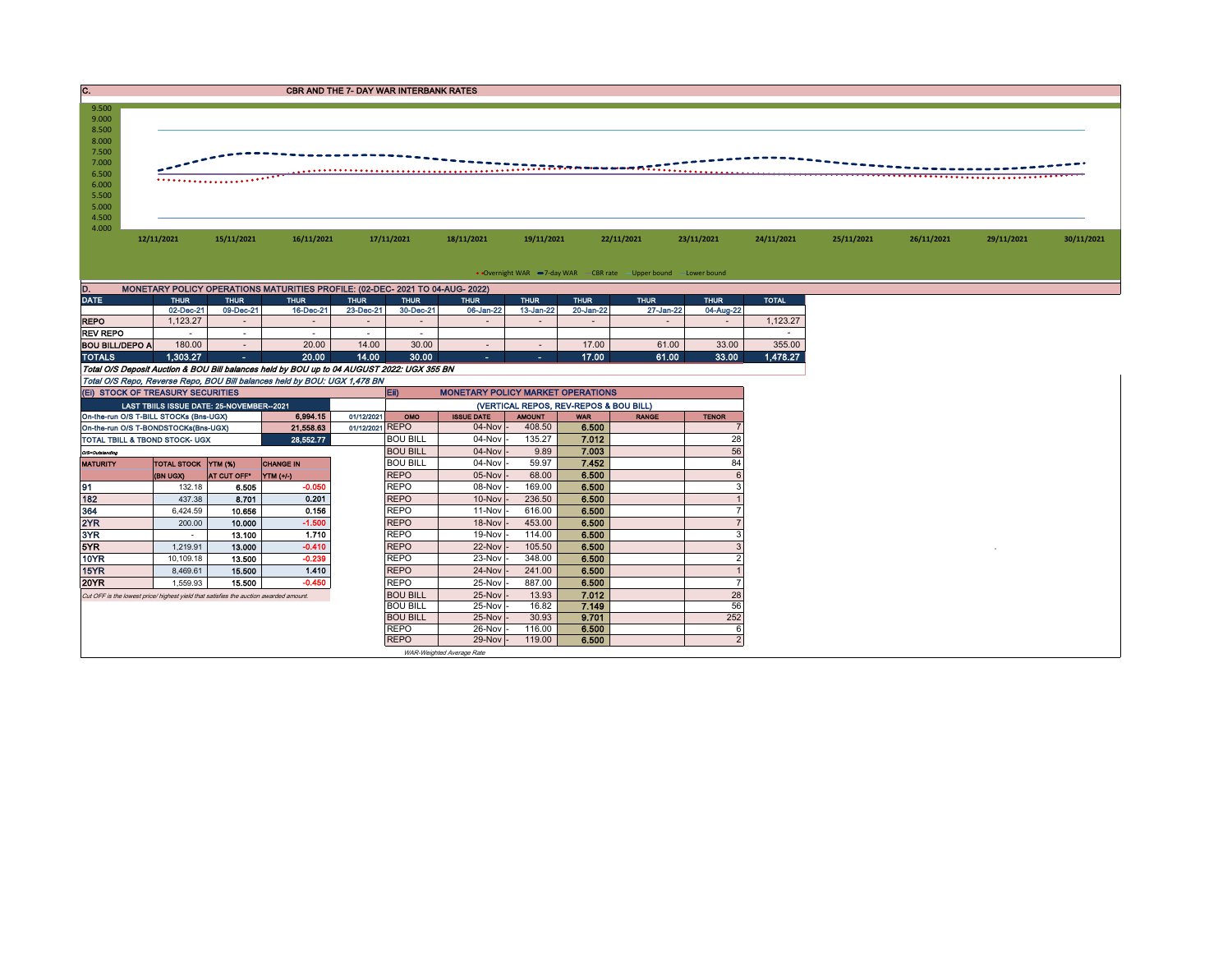| $\overline{\mathbf{C}}$ .<br><b>CBR AND THE 7- DAY WAR INTERBANK RATES</b>             |                                                                               |             |                                           |                                                                                            |                 |                                        |                                          |               |             |              |                          |                          |            |            |            |            |
|----------------------------------------------------------------------------------------|-------------------------------------------------------------------------------|-------------|-------------------------------------------|--------------------------------------------------------------------------------------------|-----------------|----------------------------------------|------------------------------------------|---------------|-------------|--------------|--------------------------|--------------------------|------------|------------|------------|------------|
| 9.500<br>9.000<br>8.500<br>8.000<br>7.500<br>7.000<br>6.500<br>6.000<br>5.500<br>5.000 |                                                                               |             |                                           |                                                                                            |                 |                                        |                                          |               |             |              |                          |                          |            |            |            |            |
| 4.500<br>4.000                                                                         | 12/11/2021                                                                    |             | 15/11/2021                                | 16/11/2021                                                                                 |                 | 17/11/2021                             | 18/11/2021                               | 19/11/2021    |             | 22/11/2021   | 23/11/2021               | 24/11/2021               | 25/11/2021 | 26/11/2021 | 29/11/2021 | 30/11/2021 |
| • Overnight WAR -7-day WAR - CBR rate - Upper bound - Lower bound                      |                                                                               |             |                                           |                                                                                            |                 |                                        |                                          |               |             |              |                          |                          |            |            |            |            |
| D.                                                                                     | MONETARY POLICY OPERATIONS MATURITIES PROFILE: (02-DEC- 2021 TO 04-AUG- 2022) |             |                                           |                                                                                            |                 |                                        |                                          |               |             |              |                          |                          |            |            |            |            |
| <b>DATE</b>                                                                            |                                                                               | <b>THUR</b> | <b>THUR</b>                               | <b>THUR</b>                                                                                | <b>THUR</b>     | <b>THUR</b>                            | <b>THUR</b>                              | <b>THUR</b>   | <b>THUR</b> | <b>THUR</b>  | <b>THUR</b>              | <b>TOTAL</b>             |            |            |            |            |
|                                                                                        |                                                                               | 02-Dec-21   | 09-Dec-21                                 | 16-Dec-21                                                                                  | 23-Dec-21       | 30-Dec-21                              | 06-Jan-22                                | 13-Jan-22     | 20-Jan-22   | 27-Jan-22    | 04-Aug-22                |                          |            |            |            |            |
| <b>REPO</b>                                                                            |                                                                               | 1,123.27    |                                           |                                                                                            |                 | $\sim$                                 |                                          |               |             |              | $\overline{\phantom{a}}$ | 1,123.27                 |            |            |            |            |
| <b>REV REPO</b>                                                                        |                                                                               | $\sim$      | $\sim$                                    | $\sim$                                                                                     | $\sim$          | $\sim$                                 |                                          |               |             |              |                          | $\overline{\phantom{a}}$ |            |            |            |            |
| <b>BOU BILL/DEPO A</b>                                                                 |                                                                               | 180.00      | $\sim$                                    | 20.00                                                                                      | 14.00           | 30.00                                  |                                          | $\sim$        | 17.00       | 61.00        | 33.00                    | 355.00                   |            |            |            |            |
| <b>TOTALS</b>                                                                          |                                                                               | 1,303.27    | $\sim$                                    | 20.00                                                                                      | 14.00           | 30.00                                  | $\sim$                                   | $\sim$        | 17.00       | 61.00        | 33.00                    | 1,478.27                 |            |            |            |            |
|                                                                                        |                                                                               |             |                                           | Total O/S Deposit Auction & BOU Bill balances held by BOU up to 04 AUGUST 2022: UGX 355 BN |                 |                                        |                                          |               |             |              |                          |                          |            |            |            |            |
|                                                                                        |                                                                               |             |                                           | Total O/S Repo, Reverse Repo, BOU Bill balances held by BOU: UGX 1,478 BN                  |                 |                                        |                                          |               |             |              |                          |                          |            |            |            |            |
| (EI) STOCK OF TREASURY SECURITIES                                                      |                                                                               |             |                                           |                                                                                            |                 | EID                                    | <b>MONETARY POLICY MARKET OPERATIONS</b> |               |             |              |                          |                          |            |            |            |            |
|                                                                                        |                                                                               |             | LAST TBIILS ISSUE DATE: 25-NOVEMBER--2021 |                                                                                            |                 | (VERTICAL REPOS, REV-REPOS & BOU BILL) |                                          |               |             |              |                          |                          |            |            |            |            |
| On-the-run O/S T-BILL STOCKs (Bns-UGX)                                                 |                                                                               |             |                                           | 6.994.15                                                                                   | 01/12/2021      | OMO                                    | <b>ISSUE DATE</b>                        | <b>AMOUNT</b> | <b>WAR</b>  | <b>RANGE</b> | <b>TENOR</b>             |                          |            |            |            |            |
| On-the-run O/S T-BONDSTOCKs(Bns-UGX)                                                   |                                                                               |             |                                           | 21,558.63                                                                                  | 01/12/2021 REPO |                                        | $04$ -Nov                                | 408.50        | 6.500       |              |                          |                          |            |            |            |            |
| TOTAL TBILL & TBOND STOCK- UGX                                                         |                                                                               |             |                                           | 28.552.77                                                                                  |                 | <b>BOU BILL</b>                        | 04-Nov                                   | 135.27        | 7.012       |              | 28                       |                          |            |            |            |            |
| O/S=Outstanding                                                                        |                                                                               |             |                                           |                                                                                            | <b>BOU BILL</b> | 04-Nov                                 | 9.89                                     | 7.003         |             | 56           |                          |                          |            |            |            |            |
| <b>MATURITY</b>                                                                        | TOTAL STOCK YTM (%)<br><b>CHANGE IN</b>                                       |             |                                           |                                                                                            |                 | <b>BOU BILL</b>                        | 04-Nov                                   | 59.97         | 7.452       |              | 84                       |                          |            |            |            |            |
|                                                                                        |                                                                               | (BN UGX)    | AT CUT OFF*                               | YTM (+/-)                                                                                  |                 | <b>REPO</b>                            | 05-Nov                                   | 68.00         | 6.500       |              | 6                        |                          |            |            |            |            |
| 91                                                                                     |                                                                               | 132.18      | 6.505                                     | $-0.050$                                                                                   |                 | <b>REPO</b>                            | 08-Nov                                   | 169.00        | 6.500       |              | 3                        |                          |            |            |            |            |
| 182                                                                                    |                                                                               | 437.38      | 8.701                                     | 0.201                                                                                      |                 | <b>REPO</b>                            | 10-Nov                                   | 236.50        | 6.500       |              |                          |                          |            |            |            |            |
| 364                                                                                    |                                                                               | 6,424.59    | 10.656                                    | 0.156                                                                                      |                 | <b>REPO</b>                            | 11-Nov                                   | 616.00        | 6.500       |              |                          |                          |            |            |            |            |
| 2YR                                                                                    |                                                                               | 200.00      | 10.000                                    | $-1.500$                                                                                   |                 | <b>REPO</b>                            | 18-Nov                                   | 453.00        | 6.500       |              |                          |                          |            |            |            |            |
| 3YR                                                                                    |                                                                               | $\sim$      | 13.100                                    | 1.710                                                                                      |                 | <b>REPO</b>                            | $19-Nov$                                 | 114.00        | 6.500       |              | 3                        |                          |            |            |            |            |
| 5YR                                                                                    |                                                                               | 1.219.91    | 13.000                                    | $-0.410$                                                                                   |                 | <b>REPO</b>                            | 22-Nov                                   | 105.50        | 6.500       |              | $\overline{3}$           |                          |            |            |            |            |
| 10YR                                                                                   |                                                                               | 10,109.18   | 13.500                                    | $-0.239$                                                                                   |                 | <b>REPO</b>                            | 23-Nov                                   | 348.00        | 6.500       |              | $\overline{2}$           |                          |            |            |            |            |
| 15YR                                                                                   |                                                                               | 8,469.61    | 15.500                                    | 1.410                                                                                      |                 | <b>REPO</b>                            | 24-Nov                                   | 241.00        | 6.500       |              | $\mathbf{1}$             |                          |            |            |            |            |
| 20YR                                                                                   |                                                                               | 1,559.93    | 15,500                                    | $-0.450$                                                                                   |                 | <b>REPO</b>                            | 25-Nov                                   | 887.00        | 6.500       |              | $\overline{7}$           |                          |            |            |            |            |
| Cut OFF is the lowest price/ highest yield that satisfies the auction awarded amount.  |                                                                               |             |                                           |                                                                                            |                 | <b>BOU BILL</b>                        | 25-Nov                                   | 13.93         | 7.012       |              | 28                       |                          |            |            |            |            |
|                                                                                        |                                                                               |             |                                           |                                                                                            |                 | <b>BOU BILL</b>                        | 25-Nov                                   | 16.82         | 7.149       |              | 56                       |                          |            |            |            |            |
|                                                                                        |                                                                               |             |                                           |                                                                                            |                 | <b>BOU BILL</b>                        | 25-Nov                                   | 30.93         | 9.701       |              | 252                      |                          |            |            |            |            |
|                                                                                        |                                                                               |             |                                           |                                                                                            |                 | <b>REPO</b>                            | 26-Nov                                   | 116.00        | 6.500       |              | 6                        |                          |            |            |            |            |
|                                                                                        |                                                                               |             |                                           |                                                                                            |                 | <b>REPO</b>                            | 29-Nov                                   | 119.00        | 6.500       |              | $\overline{2}$           |                          |            |            |            |            |
|                                                                                        |                                                                               |             |                                           |                                                                                            |                 |                                        | WAR-Weighted Average Rate                |               |             |              |                          |                          |            |            |            |            |